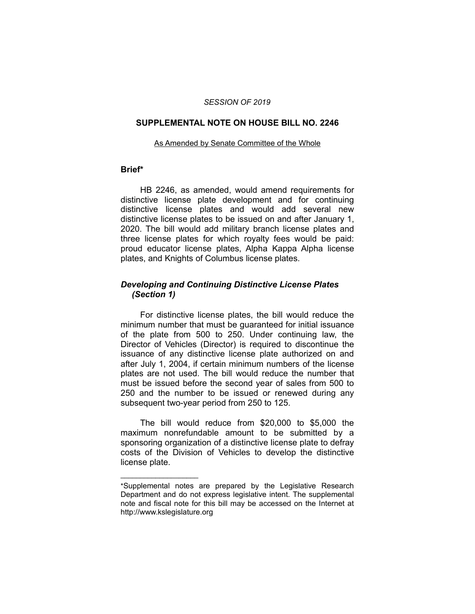### *SESSION OF 2019*

#### **SUPPLEMENTAL NOTE ON HOUSE BILL NO. 2246**

#### As Amended by Senate Committee of the Whole

### **Brief\***

HB 2246, as amended, would amend requirements for distinctive license plate development and for continuing distinctive license plates and would add several new distinctive license plates to be issued on and after January 1, 2020. The bill would add military branch license plates and three license plates for which royalty fees would be paid: proud educator license plates, Alpha Kappa Alpha license plates, and Knights of Columbus license plates.

### *Developing and Continuing Distinctive License Plates (Section 1)*

For distinctive license plates, the bill would reduce the minimum number that must be guaranteed for initial issuance of the plate from 500 to 250. Under continuing law, the Director of Vehicles (Director) is required to discontinue the issuance of any distinctive license plate authorized on and after July 1, 2004, if certain minimum numbers of the license plates are not used. The bill would reduce the number that must be issued before the second year of sales from 500 to 250 and the number to be issued or renewed during any subsequent two-year period from 250 to 125.

The bill would reduce from \$20,000 to \$5,000 the maximum nonrefundable amount to be submitted by a sponsoring organization of a distinctive license plate to defray costs of the Division of Vehicles to develop the distinctive license plate.

 $\overline{\phantom{a}}$  , where  $\overline{\phantom{a}}$ 

<sup>\*</sup>Supplemental notes are prepared by the Legislative Research Department and do not express legislative intent. The supplemental note and fiscal note for this bill may be accessed on the Internet at http://www.kslegislature.org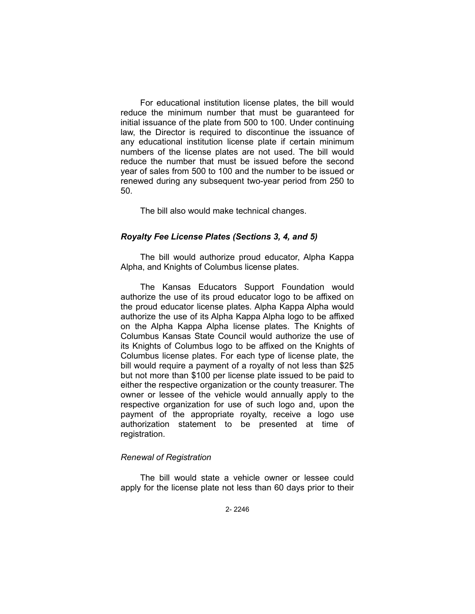For educational institution license plates, the bill would reduce the minimum number that must be guaranteed for initial issuance of the plate from 500 to 100. Under continuing law, the Director is required to discontinue the issuance of any educational institution license plate if certain minimum numbers of the license plates are not used. The bill would reduce the number that must be issued before the second year of sales from 500 to 100 and the number to be issued or renewed during any subsequent two-year period from 250 to 50.

The bill also would make technical changes.

# *Royalty Fee License Plates (Sections 3, 4, and 5)*

The bill would authorize proud educator, Alpha Kappa Alpha, and Knights of Columbus license plates.

The Kansas Educators Support Foundation would authorize the use of its proud educator logo to be affixed on the proud educator license plates. Alpha Kappa Alpha would authorize the use of its Alpha Kappa Alpha logo to be affixed on the Alpha Kappa Alpha license plates. The Knights of Columbus Kansas State Council would authorize the use of its Knights of Columbus logo to be affixed on the Knights of Columbus license plates. For each type of license plate, the bill would require a payment of a royalty of not less than \$25 but not more than \$100 per license plate issued to be paid to either the respective organization or the county treasurer. The owner or lessee of the vehicle would annually apply to the respective organization for use of such logo and, upon the payment of the appropriate royalty, receive a logo use authorization statement to be presented at time of registration.

# *Renewal of Registration*

The bill would state a vehicle owner or lessee could apply for the license plate not less than 60 days prior to their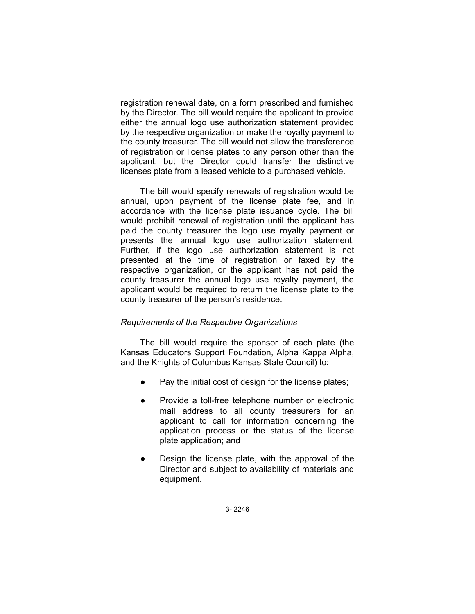registration renewal date, on a form prescribed and furnished by the Director. The bill would require the applicant to provide either the annual logo use authorization statement provided by the respective organization or make the royalty payment to the county treasurer. The bill would not allow the transference of registration or license plates to any person other than the applicant, but the Director could transfer the distinctive licenses plate from a leased vehicle to a purchased vehicle.

The bill would specify renewals of registration would be annual, upon payment of the license plate fee, and in accordance with the license plate issuance cycle. The bill would prohibit renewal of registration until the applicant has paid the county treasurer the logo use royalty payment or presents the annual logo use authorization statement. Further, if the logo use authorization statement is not presented at the time of registration or faxed by the respective organization, or the applicant has not paid the county treasurer the annual logo use royalty payment, the applicant would be required to return the license plate to the county treasurer of the person's residence.

# *Requirements of the Respective Organizations*

The bill would require the sponsor of each plate (the Kansas Educators Support Foundation, Alpha Kappa Alpha, and the Knights of Columbus Kansas State Council) to:

- Pay the initial cost of design for the license plates;
- Provide a toll-free telephone number or electronic mail address to all county treasurers for an applicant to call for information concerning the application process or the status of the license plate application; and
- Design the license plate, with the approval of the Director and subject to availability of materials and equipment.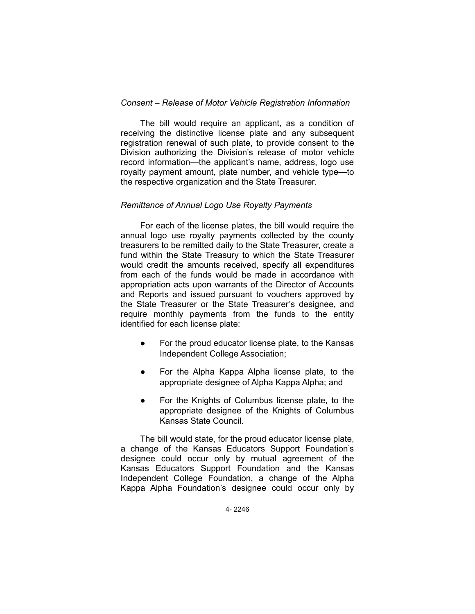# *Consent – Release of Motor Vehicle Registration Information*

The bill would require an applicant, as a condition of receiving the distinctive license plate and any subsequent registration renewal of such plate, to provide consent to the Division authorizing the Division's release of motor vehicle record information—the applicant's name, address, logo use royalty payment amount, plate number, and vehicle type—to the respective organization and the State Treasurer.

# *Remittance of Annual Logo Use Royalty Payments*

For each of the license plates, the bill would require the annual logo use royalty payments collected by the county treasurers to be remitted daily to the State Treasurer, create a fund within the State Treasury to which the State Treasurer would credit the amounts received, specify all expenditures from each of the funds would be made in accordance with appropriation acts upon warrants of the Director of Accounts and Reports and issued pursuant to vouchers approved by the State Treasurer or the State Treasurer's designee, and require monthly payments from the funds to the entity identified for each license plate:

- For the proud educator license plate, to the Kansas Independent College Association;
- For the Alpha Kappa Alpha license plate, to the appropriate designee of Alpha Kappa Alpha; and
- For the Knights of Columbus license plate, to the appropriate designee of the Knights of Columbus Kansas State Council.

The bill would state, for the proud educator license plate, a change of the Kansas Educators Support Foundation's designee could occur only by mutual agreement of the Kansas Educators Support Foundation and the Kansas Independent College Foundation, a change of the Alpha Kappa Alpha Foundation's designee could occur only by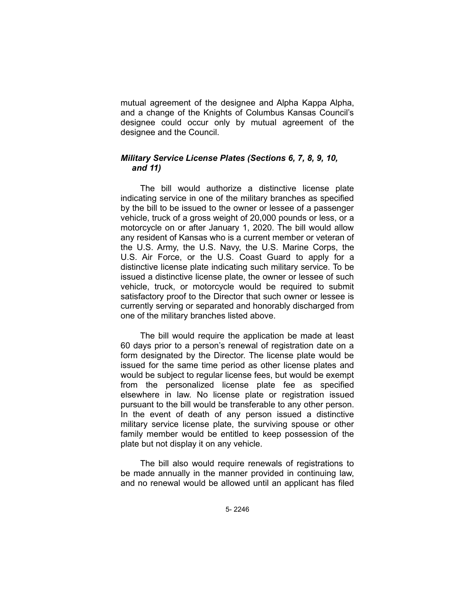mutual agreement of the designee and Alpha Kappa Alpha, and a change of the Knights of Columbus Kansas Council's designee could occur only by mutual agreement of the designee and the Council.

# *Military Service License Plates (Sections 6, 7, 8, 9, 10, and 11)*

The bill would authorize a distinctive license plate indicating service in one of the military branches as specified by the bill to be issued to the owner or lessee of a passenger vehicle, truck of a gross weight of 20,000 pounds or less, or a motorcycle on or after January 1, 2020. The bill would allow any resident of Kansas who is a current member or veteran of the U.S. Army, the U.S. Navy, the U.S. Marine Corps, the U.S. Air Force, or the U.S. Coast Guard to apply for a distinctive license plate indicating such military service. To be issued a distinctive license plate, the owner or lessee of such vehicle, truck, or motorcycle would be required to submit satisfactory proof to the Director that such owner or lessee is currently serving or separated and honorably discharged from one of the military branches listed above.

The bill would require the application be made at least 60 days prior to a person's renewal of registration date on a form designated by the Director. The license plate would be issued for the same time period as other license plates and would be subject to regular license fees, but would be exempt from the personalized license plate fee as specified elsewhere in law. No license plate or registration issued pursuant to the bill would be transferable to any other person. In the event of death of any person issued a distinctive military service license plate, the surviving spouse or other family member would be entitled to keep possession of the plate but not display it on any vehicle.

The bill also would require renewals of registrations to be made annually in the manner provided in continuing law, and no renewal would be allowed until an applicant has filed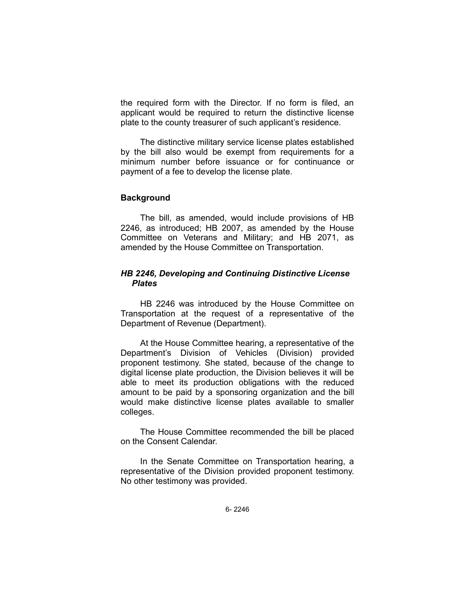the required form with the Director. If no form is filed, an applicant would be required to return the distinctive license plate to the county treasurer of such applicant's residence.

The distinctive military service license plates established by the bill also would be exempt from requirements for a minimum number before issuance or for continuance or payment of a fee to develop the license plate.

## **Background**

The bill, as amended, would include provisions of HB 2246, as introduced; HB 2007, as amended by the House Committee on Veterans and Military; and HB 2071, as amended by the House Committee on Transportation.

# *HB 2246, Developing and Continuing Distinctive License Plates*

HB 2246 was introduced by the House Committee on Transportation at the request of a representative of the Department of Revenue (Department).

At the House Committee hearing, a representative of the Department's Division of Vehicles (Division) provided proponent testimony. She stated, because of the change to digital license plate production, the Division believes it will be able to meet its production obligations with the reduced amount to be paid by a sponsoring organization and the bill would make distinctive license plates available to smaller colleges.

The House Committee recommended the bill be placed on the Consent Calendar.

In the Senate Committee on Transportation hearing, a representative of the Division provided proponent testimony. No other testimony was provided.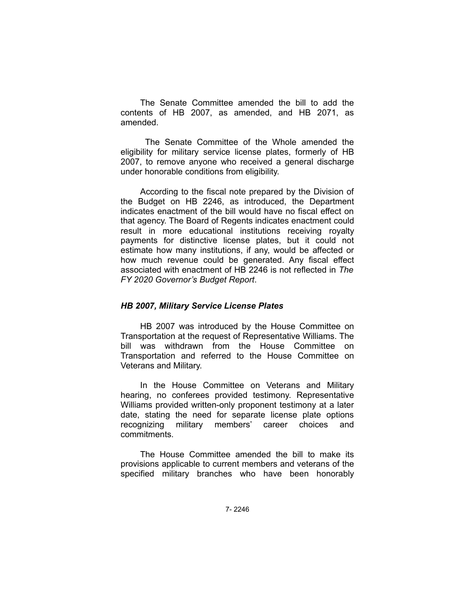The Senate Committee amended the bill to add the contents of HB 2007, as amended, and HB 2071, as amended.

 The Senate Committee of the Whole amended the eligibility for military service license plates, formerly of HB 2007, to remove anyone who received a general discharge under honorable conditions from eligibility.

According to the fiscal note prepared by the Division of the Budget on HB 2246, as introduced, the Department indicates enactment of the bill would have no fiscal effect on that agency. The Board of Regents indicates enactment could result in more educational institutions receiving royalty payments for distinctive license plates, but it could not estimate how many institutions, if any, would be affected or how much revenue could be generated. Any fiscal effect associated with enactment of HB 2246 is not reflected in *The FY 2020 Governor's Budget Report*.

### *HB 2007, Military Service License Plates*

HB 2007 was introduced by the House Committee on Transportation at the request of Representative Williams. The bill was withdrawn from the House Committee on Transportation and referred to the House Committee on Veterans and Military.

In the House Committee on Veterans and Military hearing, no conferees provided testimony. Representative Williams provided written-only proponent testimony at a later date, stating the need for separate license plate options recognizing military members' career choices and commitments.

The House Committee amended the bill to make its provisions applicable to current members and veterans of the specified military branches who have been honorably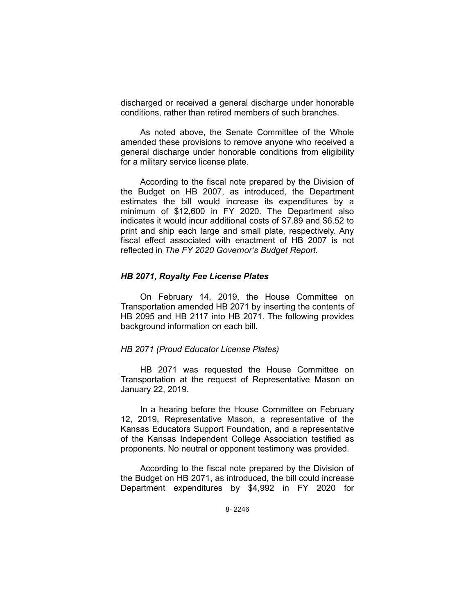discharged or received a general discharge under honorable conditions, rather than retired members of such branches.

As noted above, the Senate Committee of the Whole amended these provisions to remove anyone who received a general discharge under honorable conditions from eligibility for a military service license plate.

According to the fiscal note prepared by the Division of the Budget on HB 2007, as introduced, the Department estimates the bill would increase its expenditures by a minimum of \$12,600 in FY 2020. The Department also indicates it would incur additional costs of \$7.89 and \$6.52 to print and ship each large and small plate, respectively. Any fiscal effect associated with enactment of HB 2007 is not reflected in *The FY 2020 Governor's Budget Report*.

### *HB 2071, Royalty Fee License Plates*

On February 14, 2019, the House Committee on Transportation amended HB 2071 by inserting the contents of HB 2095 and HB 2117 into HB 2071. The following provides background information on each bill.

### *HB 2071 (Proud Educator License Plates)*

HB 2071 was requested the House Committee on Transportation at the request of Representative Mason on January 22, 2019.

In a hearing before the House Committee on February 12, 2019, Representative Mason, a representative of the Kansas Educators Support Foundation, and a representative of the Kansas Independent College Association testified as proponents. No neutral or opponent testimony was provided.

According to the fiscal note prepared by the Division of the Budget on HB 2071, as introduced, the bill could increase Department expenditures by \$4,992 in FY 2020 for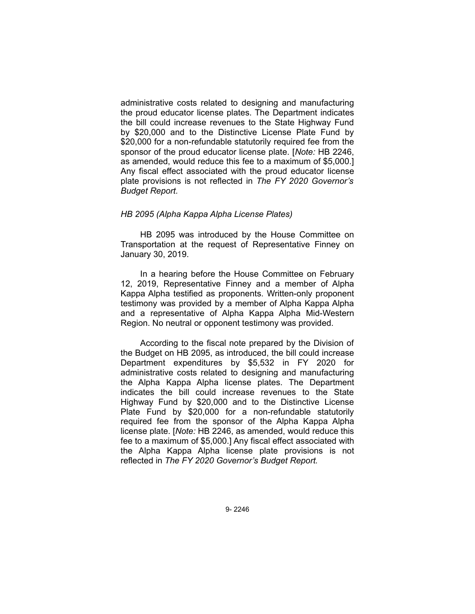administrative costs related to designing and manufacturing the proud educator license plates. The Department indicates the bill could increase revenues to the State Highway Fund by \$20,000 and to the Distinctive License Plate Fund by \$20,000 for a non-refundable statutorily required fee from the sponsor of the proud educator license plate. [*Note:* HB 2246, as amended, would reduce this fee to a maximum of \$5,000.] Any fiscal effect associated with the proud educator license plate provisions is not reflected in *The FY 2020 Governor's Budget Report.*

## *HB 2095 (Alpha Kappa Alpha License Plates)*

HB 2095 was introduced by the House Committee on Transportation at the request of Representative Finney on January 30, 2019.

In a hearing before the House Committee on February 12, 2019, Representative Finney and a member of Alpha Kappa Alpha testified as proponents. Written-only proponent testimony was provided by a member of Alpha Kappa Alpha and a representative of Alpha Kappa Alpha Mid-Western Region. No neutral or opponent testimony was provided.

According to the fiscal note prepared by the Division of the Budget on HB 2095, as introduced, the bill could increase Department expenditures by \$5,532 in FY 2020 for administrative costs related to designing and manufacturing the Alpha Kappa Alpha license plates. The Department indicates the bill could increase revenues to the State Highway Fund by \$20,000 and to the Distinctive License Plate Fund by \$20,000 for a non-refundable statutorily required fee from the sponsor of the Alpha Kappa Alpha license plate. [*Note:* HB 2246, as amended, would reduce this fee to a maximum of \$5,000.] Any fiscal effect associated with the Alpha Kappa Alpha license plate provisions is not reflected in *The FY 2020 Governor's Budget Report.*